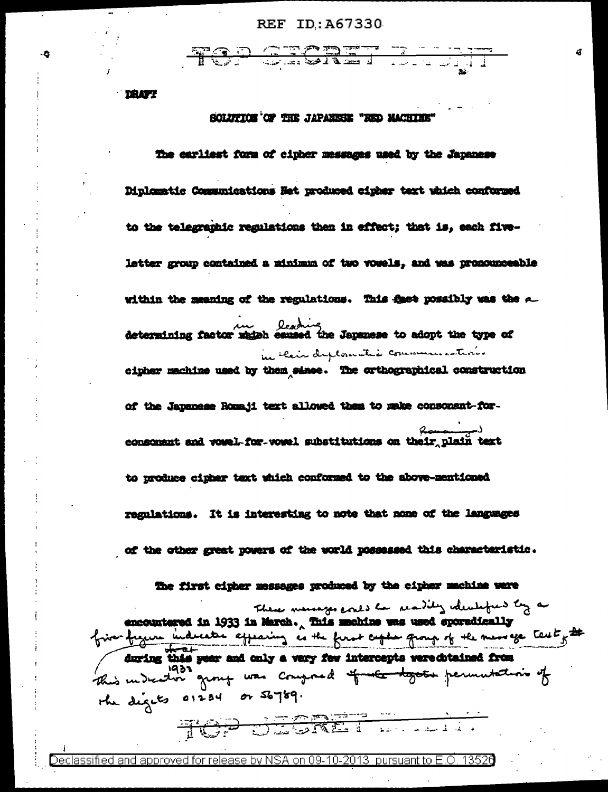<u> Ted crant dinin</u>

A

**DRAFT** 

-8

#### SOLUTION OF THE JAPANESE "RED MACHINE"

The carliest form of cipher messages used by the Japanese Diplomatic Communications Net produced cipher text which conformed to the telegraphic regulations then in effect; that is, each fiveletter group contained a minimum of two vowels, and was pronounceable within the meaning of the regulations. This fact possibly was the a determining factor medah esumed the Japanese to adopt the type of in their deplorantes communications cipher machine used by them since. The orthographical construction of the Japanese Romaji text allowed them to make consonant-forconsoment and vowel-for-vowel substitutions on their plain text to produce cipher text which conformed to the above-mentioned regulations. It is interesting to note that none of the languages of the other great powers of the world possessed this characteristic.

The first cipher messages produced by the cipher machine were There mensages could be readily relations by a encountered in 1933 in March., This machine was used sporadically five figure indicate affecting is the first captur group of the measure text , the during this year and only a very few intercepts were dotained from This indication group was composed if the degeter permutation of the digets 01234 or 56789. HOP OF CREST WALLER

Declassified and approved for release by NSA on 09-10-2013  $\,$  pursuant to E.O. 1352 $6$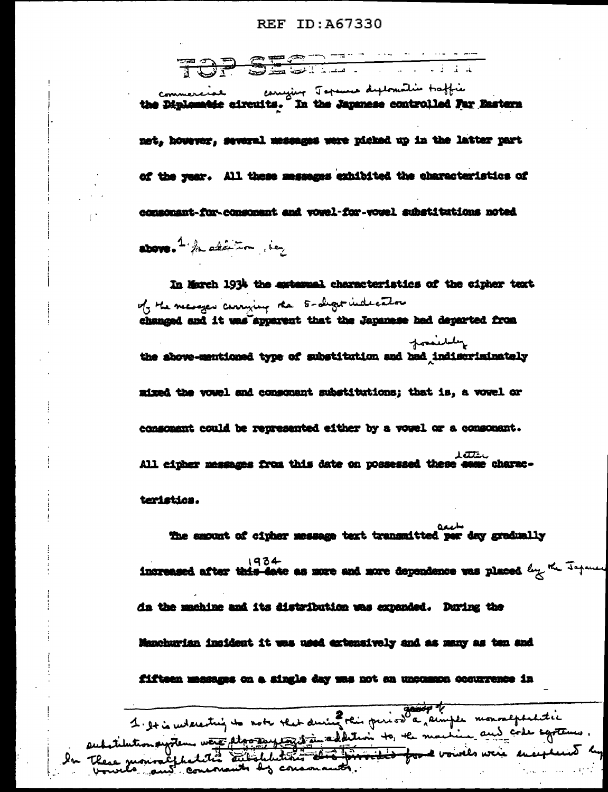TOP SECTION AND MILE

commercial conception Terrine deptending traffic net, however, several messages were picked up in the latter part

of the year. All these messages exhibited the characteristics of consonant-for-consonant and vowel-for-vowel substitutions noted

above.  $1/\lambda$  about  $\sim$ , is,

In March 1934 the external characteristics of the cipher text of the necessary currying the 5-oliget indicator changed and it was apparent that the Japanese had departed from foraity the above-mentioned type of substitution and had indiscriminately mixed the vowel and consoment substitutions; that is, a vowel or consonant could be represented either by a vowel or a consonant. 1 aten All cipher messages from this date on possessed these same charac-

teristics.

The smount of cipher message text transmitted per day gradually 1934 increased after this date as more and more dependence was placed by the Japanes da the machine and its distribution was expanded. During the Menchurian incident it was used extensively and as many as ten and fifteen umssages on a single day was not an uncommon occurrence in

1. It is understand to note that during this period a sumple monoceptatic .<br>substitution augstem were place anything in addition to the machine and code sortenus.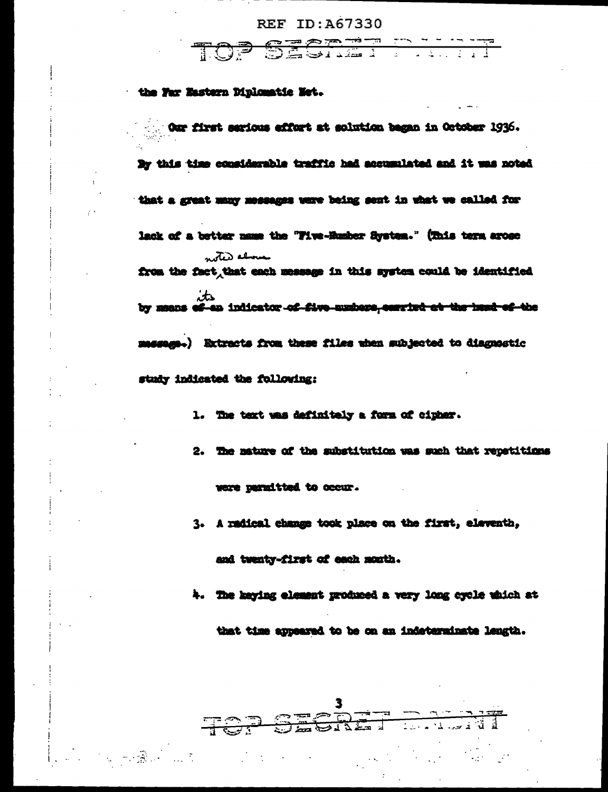TOP SEGISEL EN LITT

the Far Eastern Diplomatic Net.

Our first serious effort at solution began in October 1936. By this time considerable traffic had accumulated and it was noted that a great many messages were being sent in what we called for lack of a better name the "Five-Runber System." (This term arose noted above from the fact, that each message in this system could be identified حتله by means of an indicator of five numbers, convind at the head of the mesage.) Extracts from these files when subjected to diagnostic study indicated the following:

1. The text was definitely a form of cipher.

2. The nature of the substitution was such that repetitions

were paraitted to occur.

 $\label{eq:2.1} \frac{1}{2} \int_{\mathbb{R}^3} \frac{1}{\sqrt{2}} \, \frac{1}{\sqrt{2}} \, \frac{1}{\sqrt{2}} \, \frac{1}{\sqrt{2}} \, \frac{1}{\sqrt{2}} \, \frac{1}{\sqrt{2}} \, \frac{1}{\sqrt{2}} \, \frac{1}{\sqrt{2}} \, \frac{1}{\sqrt{2}} \, \frac{1}{\sqrt{2}} \, \frac{1}{\sqrt{2}} \, \frac{1}{\sqrt{2}} \, \frac{1}{\sqrt{2}} \, \frac{1}{\sqrt{2}} \, \frac{1}{\sqrt{2}} \, \frac{1}{\sqrt{2}} \,$ 

 $\label{eq:Ric} \frac{1}{\sqrt{R}} \sum_{i=1}^N \frac{1}{\sqrt{R_i}} \sum_{i=1}^N \frac{1}{\sqrt{R_i}} \sum_{i=1}^N \frac{1}{\sqrt{R_i}} \sum_{i=1}^N \frac{1}{\sqrt{R_i}} \sum_{i=1}^N \frac{1}{\sqrt{R_i}} \sum_{i=1}^N \frac{1}{\sqrt{R_i}} \sum_{i=1}^N \frac{1}{\sqrt{R_i}} \sum_{i=1}^N \frac{1}{\sqrt{R_i}} \sum_{i=1}^N \frac{1}{\sqrt{R_i}} \sum_{i=1}^N \frac{1}{\sqrt{R_i}} \sum$ 

3. A radical change took place on the first, eleventh,

and twenty-first of each month.

4. The keying element produced a very long cycle which at that time appeared to be on an indeterminate length.

**TOP SECRET DATER**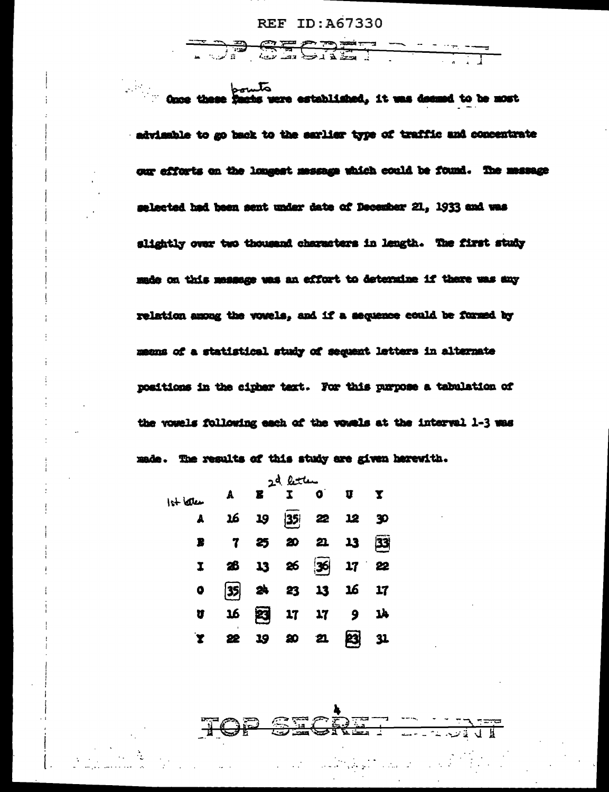**CEPTION** 

and these these parts were established, it was deemed to be most advisable to go back to the sarlier type of traffic and concentrate our efforts on the longest message which could be found. The message selected had been sent under date of December 21, 1933 and was slightly over two thousand characters in length. The first study made on this message was an effort to determine if there was any relation among the vowels, and if a sequence could be formed by means of a statistical study of sequent letters in alternate positions in the cipher text. For this purpose a tabulation of the vowels following each of the vowels at the interval 1-3 was made. The results of this study are given herewith.

TOP SECRET E TAPE

 $\label{eq:2.1} \mathcal{L}_{\text{max}}(\mathbf{X},\mathbf{X}) = \frac{1}{2} \sum_{i=1}^{n} \sum_{j=1}^{n} \mathcal{L}_{\text{max}}(\mathbf{X},\mathbf{X}) = \frac{1}{2} \sum_{i=1}^{n} \sum_{j=1}^{n} \mathcal{L}_{\text{max}}(\mathbf{X},\mathbf{X})$ 

|             | $2^d$ letter |    |                    |    |                          |    |  |
|-------------|--------------|----|--------------------|----|--------------------------|----|--|
| اء+ لمكالحه | A            |    |                    |    | $\mathbf{u}$             |    |  |
| A           | 16           | 19 | $\overline{35}$ 22 |    | 12                       | 30 |  |
| B           | $\mathbf 7$  | 25 | $20$ $21$          |    | 13                       | 33 |  |
| I           | 26           |    | 13 26 36 17 22     |    |                          |    |  |
| 0           |              |    | 35 24 23 13        |    | $\overline{\mathbf{16}}$ | 17 |  |
| U           | 16           | 図  | 17                 | 17 | 9                        | Jħ |  |
|             |              | 19 | 20                 | 21 | 23                       | 31 |  |

 $\mathcal{L}^{\text{max}}_{\text{max}}$  and  $\mathcal{L}^{\text{max}}_{\text{max}}$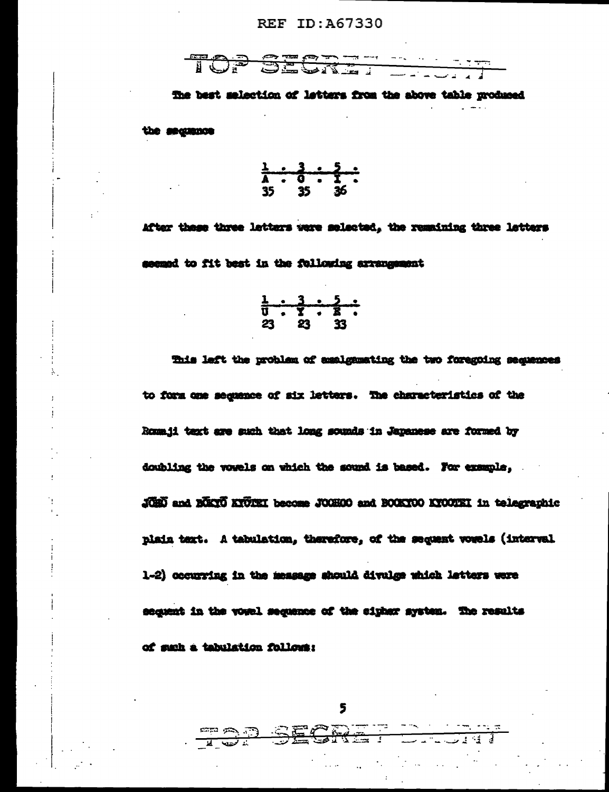TOP SECTION OF BUILDING

The best selection of letters from the above table produced

the sequence

 $\frac{1}{4} \cdot \frac{3}{8} \cdot \frac{5}{36}$ .

After these three letters were solected, the remaining three letters seemed to fit best in the following arrangement

$$
\frac{1}{0} \cdot \frac{3}{1} \cdot \frac{5}{8} \cdot \frac{5}{8}
$$
  
23 23 33

This left the problem of assignating the two foregoing sequences to form one sequence of six letters. The characteristics of the Romaji text are such that long sounds in Japanese are formed by doubling the vowels on which the sound is based. For example, JOBO and BOKYO KYOTKI become JOOHOO and BOOKYOO KYOOTKI in telegraphic plain text. A tabulation, therefore, of the sequent vomels (interval 1-2) occurring in the measage should divulge which letters were sequent in the vowel sequence of the cipher system. The results of such a tabulation follows:

**TOD SECRET DANSE**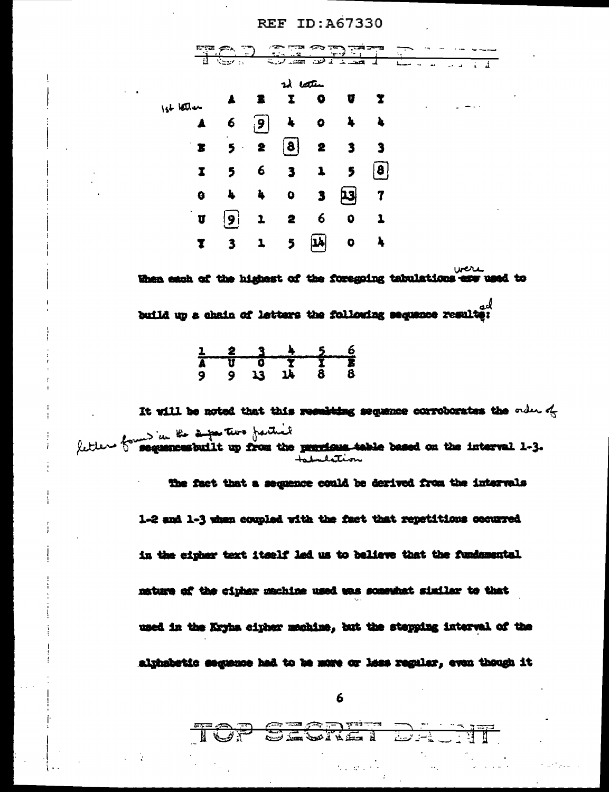**REF ID: A67330** 

|              |              | $\mathbf{a}$            |                |                         |                | التاريخ المستقبل المستقبل<br>المصدر الاقتراب المصدر المركز |                                                                                                                                                                                                                                   |  |
|--------------|--------------|-------------------------|----------------|-------------------------|----------------|------------------------------------------------------------|-----------------------------------------------------------------------------------------------------------------------------------------------------------------------------------------------------------------------------------|--|
|              |              | $\sqrt{2\pi}$ .         |                |                         |                |                                                            |                                                                                                                                                                                                                                   |  |
|              |              |                         |                | 2) later                |                |                                                            |                                                                                                                                                                                                                                   |  |
| $156$ letter |              |                         | E              |                         | $\bullet$      | U                                                          | - 7                                                                                                                                                                                                                               |  |
|              | $\mathbf{A}$ | 6 <sup>1</sup>          | $\sqrt{9}$     | $\frac{1}{2}$ 0         |                |                                                            | a de de la contradicación de la contradicación de la contradicación de la contradicación de la contradicación e<br>Desde la contradicación de la contradicación de la contradicación de la contradicación de la contradicación de |  |
|              | $\mathbf{B}$ |                         | 5 <sub>2</sub> | 8                       |                | $2 \quad 3$                                                | -3                                                                                                                                                                                                                                |  |
|              | $\mathbf{I}$ | 5 <sub>1</sub>          | $\epsilon$     |                         | 3 <sub>1</sub> | $\overline{\mathbf{z}}$                                    | $ {\bf 8} $                                                                                                                                                                                                                       |  |
|              | 0            | $\ddot{\phantom{a}}$    | $\frac{1}{2}$  | $\bullet$               | $\mathbf{3}$   | 벼                                                          | $\mathbf{r}$                                                                                                                                                                                                                      |  |
|              | U            | !9 I                    | $\mathbf{L}$   | $\overline{\mathbf{z}}$ | 6              | $\bullet$                                                  | $\mathbf{L}$                                                                                                                                                                                                                      |  |
|              | T            | $\overline{\mathbf{3}}$ | $\mathbf{L}$   | 5                       | أهدأ           | $\bullet$                                                  |                                                                                                                                                                                                                                   |  |

were When each of the highest of the foregoing tabulations enw used to build up a chain of letters the following sequence results:

|   | Ξ |   |   | 6 |
|---|---|---|---|---|
| A |   | ¢ |   | В |
| ą |   | ĸ | 8 | B |

It will be noted that this resulting sequence corroborates the order of letter to something the state of the second state based on the interval 1-3. tabulation

> The fact that a sequence could be derived from the intervals 1-2 and 1-3 when coupled with the fact that repetitions occurred in the cipher text itself led us to believe that the fundamental nature of the cipher machine used was somewhat similar to that used in the Kryha cipher mechine, but the stepping interval of the

> alphabetic sequence had to be more or less regular, even though it

CECDET DAU IT

a ang Pa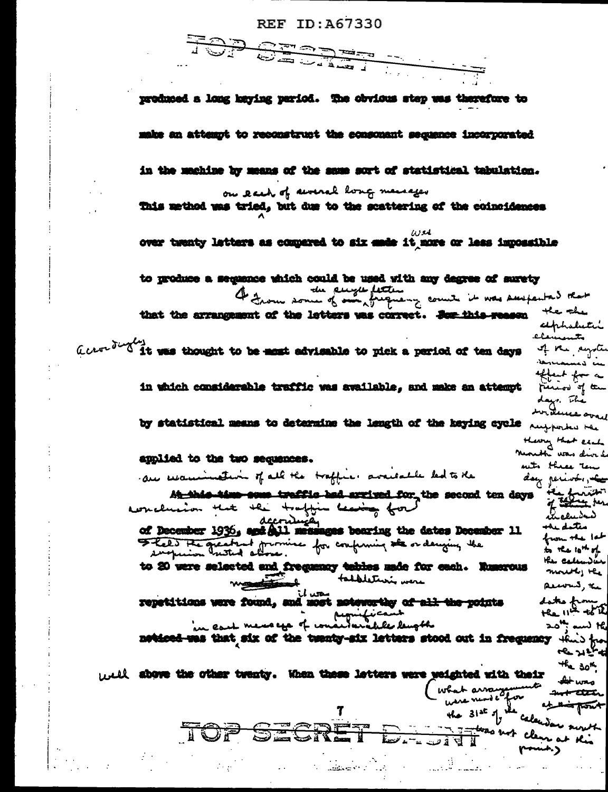**REF ID: A67330** 

TOP CERRE produced a long brying pariod. The obvious step was therefore to make an attempt to reconstruct the consonant sequence incorporated in the machine by means of the same sort of statistical tabulation. on each of several long manager This method was tried, but due to the scattering of the coincidences  $\omega$ st over twenty letters as compared to six made it more or less impossible to produce a sequence which could be used with any degree of surety It From some of our pregnancy counts it was suspented that It from some of our frequency cours or and the the clements actor du d'it was thought to be most advisable to pick a period of ten days of the system الصرير مستعيد والمد ffert for a in which considerable traffic was available, and make an attempt finite of the days. The wordence over by statistical means to determine the length of the keying cycle Augustus Ma Herry that exch nurethe was dure to applied to the two sequences. with three tem are evaluation of all the traffice. available led to the day period, to At this time some traffic had exclued for the second ten days the function conclusion that the traffic leaving for للدوفسامك dccru of December 1936, and All messages bearing the dates December 11 the dates from the lab Sheld the greatest promise for confirming the ordering the to the lath of the calendar to 20 were selected and frequency tables made for each. Runcrous mount, the weather takkleturis were Recovered, the بتحد ا dates from repetitions were found, and most noteworthy of all the points in each mensens of consumerable length 20th and the noticed was that six of the teanty-six letters stood out in frequency this for المصر بما فيتسمط the soll. mult above the other twenty. When these letters were weighted with their the strong 1 velation was the surface TOP SECTET E-017 1 roues mit pome.)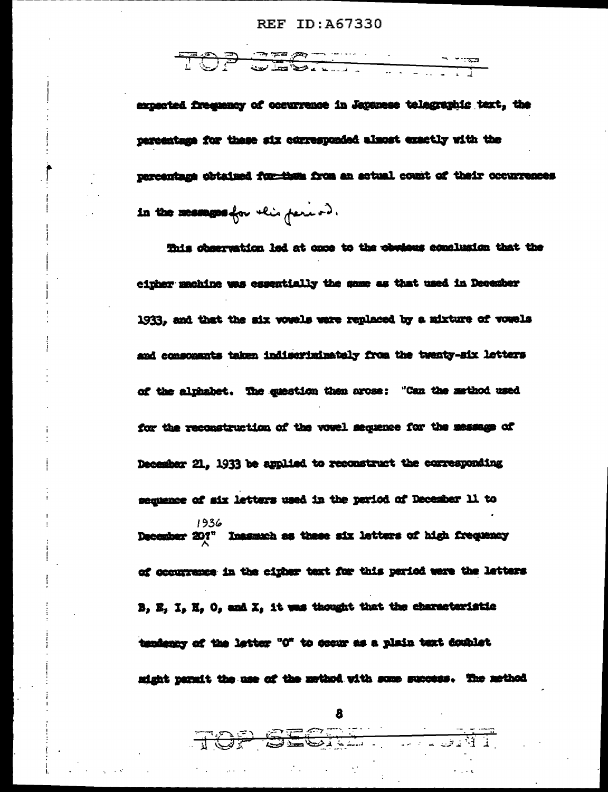FOR SERIES IN STR

expected freemency of cocurrence in Japanese telegraphic text, the percentage for these six corresponded almost exactly with the percentage obtained fur them from an actual count of their occurrences in the messages for this para ord.

This cheervation led at once to the obvious conclusion that the cipher machine was essentially the same as that used in December 1933, and that the six vowels were replaced by a mixture of vowels and comsomants taken indiscriminately from the twenty-six letters of the alphabet. The question then arose: "Can the method used for the reconstruction of the vowel sequence for the message of December 21, 1933 be applied to reconstruct the corresponding sequence of mix letters used in the pariod of December 11 to 1936 December 201" Inssmach as these six letters of high frequency of occurrence in the cipher text for this period were the letters B, E, I, H, O, and X, it was thought that the characteristic tendency of the letter "O" to coom as a plain text doublet might permit the use of the method with some success. The method

TOP SECTION AT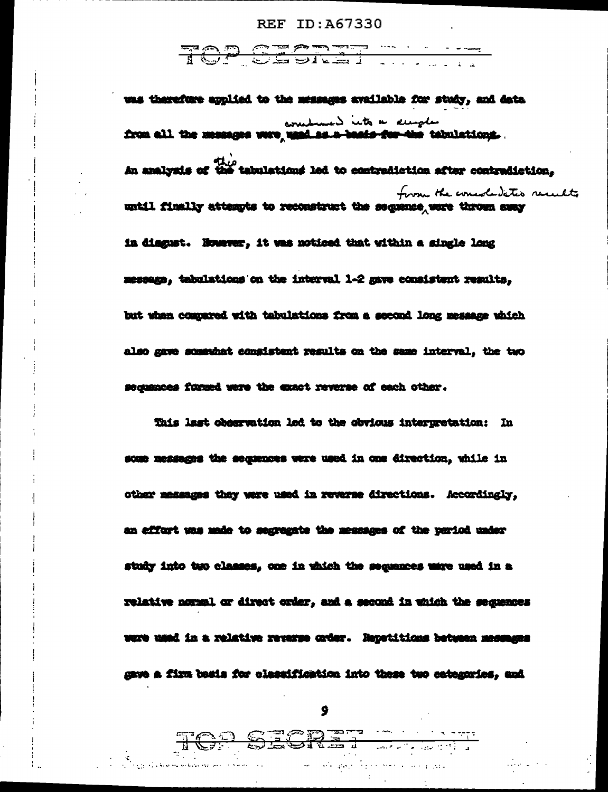TOP CEPTEL ......

was therefore applied to the messages available for study, and data and not a surgle through the manufacture.

 $\alpha_{\rm L,0}^{(1)}$  . An analysis of the tabulations led to contradiction after contradiction, from the consoludation results until finally attempts to reconstruct the sequence, were thrown away in disgust. However, it was noticed that within a single long message, tabulations on the interval 1-2 gave consistent results. but when compared with tabulations from a second long message which also gave somewhat consistent results on the same interval, the two sequences formed were the exact reverse of each other.

This last observation led to the obvious interpretation: In some messages the sequences were used in one direction, while in other messages they were used in reverse directions. Accordingly, an effort was made to segregate the messages of the pariod under study into two classes, one in which the sequences were used in a relative normal or direct order, and a second in which the sequences were used in a relative reverse order. Repetitions between messages gave a firm besis for classification into these two categories, and

TOP SECRET DELL'INTENDENTI

التاوي والمتنادين فعجلا متدوقا الجمهور فكفات العدادة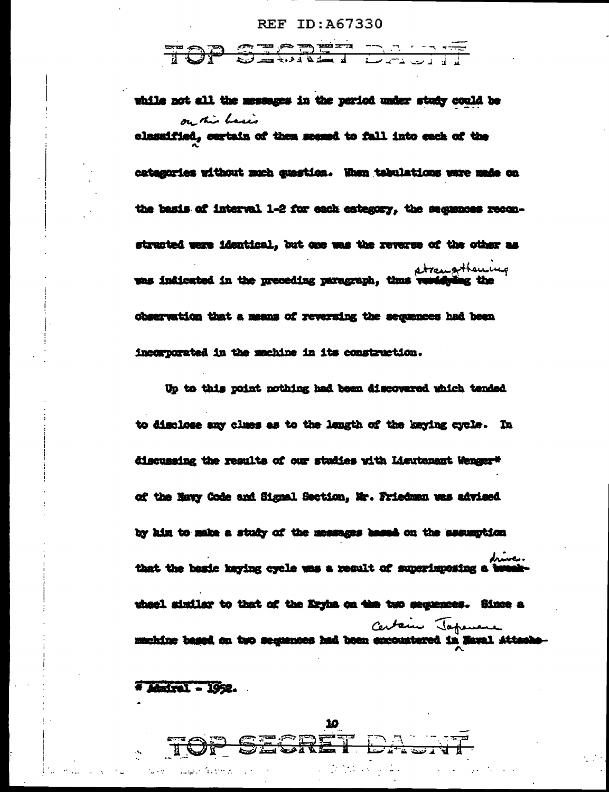TOP SERPE DANIE

while not all the messages in the pariod under study could be or this hasis classified, certain of them seemed to fall into each of the categories without much question. When tabulations were made on the basis of interval 1-2 for each estegory, the sequences reconstructed were identical, but one was the reverse of the other as was indicated in the preceding paragraph, thus vestiging the observation that a means of reversing the sequences had been incorporated in the machine in its construction.

Un to this point nothing had been discovered which tended to disclose any clues as to the length of the kaying cycle. In discussing the results of our studies with Lieutenant Wenger# of the Navy Code and Signal Section, Mr. Friedman was advised by him to make a study of the messages based on the assumption that the basic keying cycle was a result of superimposing a breakwheel similar to that of the Kryha on the two sequences. Since a Certain Jopanese machine based on two sequences had been encountered in Haval Attache-

TOP SECRET DALLA

 $M = 1952$ .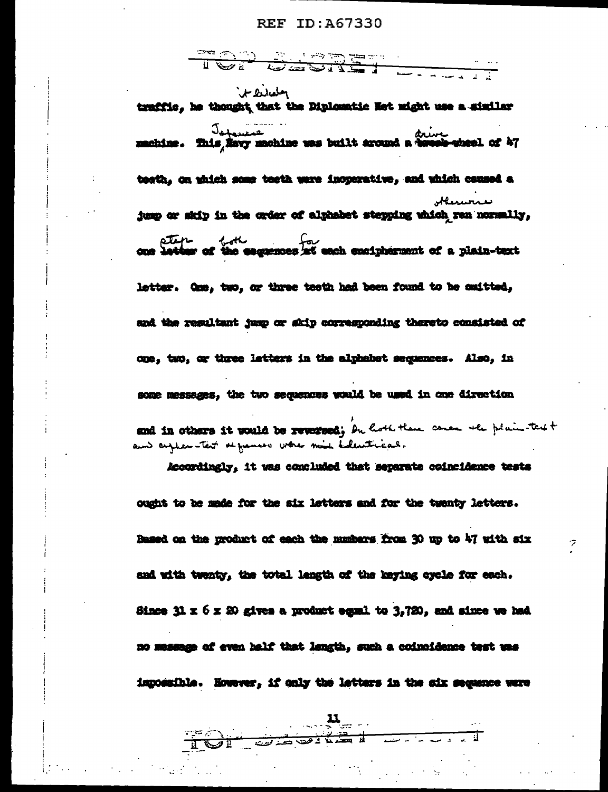TOD SUSPET LINE  $\lambda + 2i$ traffic, he thought that the Diplomatic Net might use a similar Jeteman 2 and the section of by testh. on which some testh were inoperative, and which caused a Hermon jump or skip in the order of alphabet stepping which ran normally, eture tothe segments at each encipherment of a plain-text letter. One, two, or three teeth had been found to be omitted, and the resultant jump or skip corresponding thereto consisted of one, two, or three letters in the alphabet sequences. Also, in some messages, the two sequences would be used in one direction

and in others it would be reversed; On hoth there cannon the plain-test to and curben-text of gramss were min identical.

Accordingly, it was concluded that separate coincidence tests ought to be made for the six letters and for the twenty letters. Based on the product of each the mushers from 30 up to 47 with six and with twenty, the total length of the keying cycle for each. Since  $31 \times 6 \times 20$  gives a product equal to  $3,720$ , and since we had no message of even half that langth, such a coincidence test was impossible. However, if only the letters in the six sequence were

 $\frac{11}{1000}$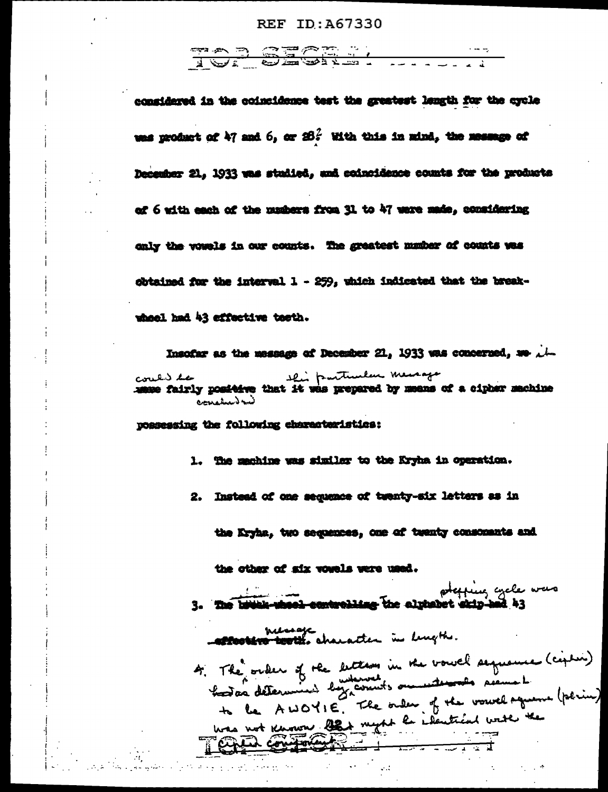TO SECTIL ......

considered in the coincidence test the greatest length for the cycle was product of  $47$  and  $6$ , or  $28\frac{2}{3}$  With this in mind, the message of December 21, 1933 was studied, and coincidence counts for the products of 6 with each of the numbers from 31 to 47 were made, considering only the vowels in our counts. The greatest mather of counts was obtained for the interval 1 - 259, which indicated that the breakwheel had 43 effective teeth.

Insofar as the message of December 21, 1933 was concerned, we also this particular message حصار لأستكسحت wase fairly positive that it was prepared by means of a cipber machine consin) mi

possessing the following characteristics:

1. The machine was similar to the Kryha in operation.

2. Instead of one sequence of twenty-six letters as in

the Kryha, two sequences, one of twenty consoments and

the other of six vowels vere used.

profession controlling the alphabet endp and b3

presence therefore in lingth. 4. The order of the letters in the voured sequence (cipier) was not known OB myst le identical voite the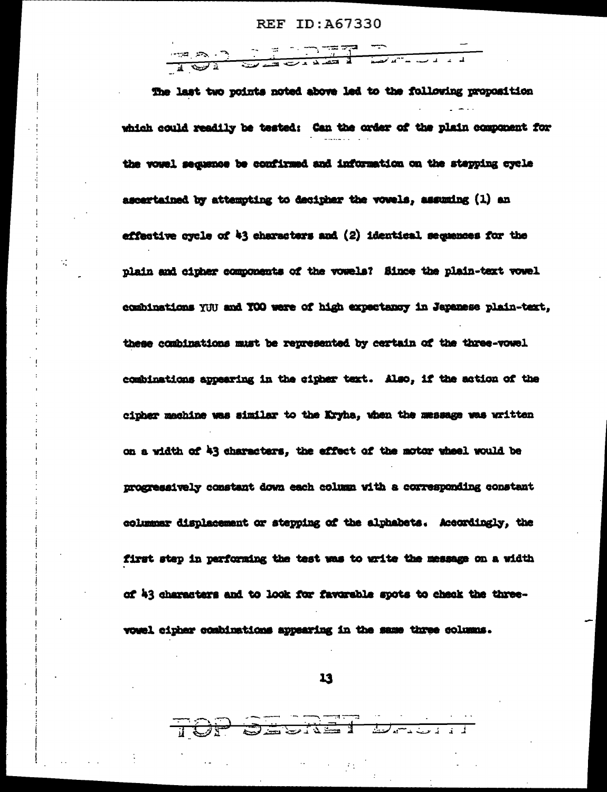$\frac{1}{\sqrt{2}}$ 

The last two points noted above led to the following proposition which could readily be tested: Can the order of the plain component for the vowel sequence be confirmed and information on the stepping cycle ascertained by attempting to decipher the vowels, assuming (1) an effective cycle of 43 characters and (2) identical sequences for the plain and cipher components of the vowels? Since the plain-text vowel combinations YUU and YOO were of high expectancy in Japanese plain-text, these combinations must be represented by certain of the three-vowel combinations appearing in the cipber text. Also, if the action of the cipher machine was similar to the Kryha, when the message was written on a width of 43 characters, the effect of the motor wheel would be progressively constant down each column with a corresponding constant columnar displacement or stepping of the alphabets. Accordingly, the first step in performing the test was to write the message on a width of 43 characters and to look for favorable spots to check the three-

÷.

13

 $\frac{1}{2}$ 

vowel cipher combinations appearing in the same three columns.

TOP SECRET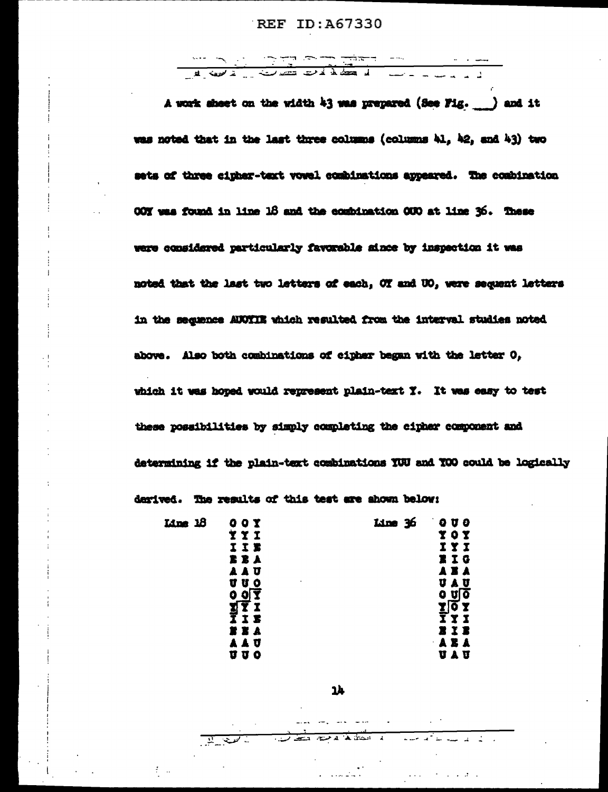<u>A CARA COMPANY AND COMPANY OF A CARACter COMPANY AND COMPANY OF A CARACter COMPANY OF A CARACter COMPANY OF A CARACter COMPANY OF A CARACter COMPANY OF A CARACter COMPANY OF A CARACter COMPANY OF A CARACter COMPANY OF A C</u>

A work sheet on the width 43 was prepared (See Fig. ) and it was noted that in the last three columns (columns 41, 42, and 43) two sets of three cipher-text vowel combinations appeared. The combination OCY was found in line 18 and the combination OUO at line 36. These were considered particularly favorable since by inspection it was noted that the last two letters of each, OY and UO, were sequent letters in the sequence AUCTIE which resulted from the interval studies noted above. Also both combinations of cipher began with the letter O, which it was hoped would represent plain-text Y. It was easy to test these possibilities by simply completing the cipher component and determining if the plain-text combinations YUU and YOO could be logically

derived. The results of this test are shown below:

 $\frac{1}{2}$  ,  $\frac{1}{2}$ 

| <b>Line 18</b> | 00 <sub>x</sub> | $\frac{1}{2}$ | 0 <sub>U</sub>                                    |
|----------------|-----------------|---------------|---------------------------------------------------|
|                | YYI             |               | Y O Y                                             |
|                | I I B           |               | IYI                                               |
|                | <b>BBA</b>      |               | <b>RIG</b>                                        |
|                | <b>AAU</b>      |               | <b>ABA</b>                                        |
|                | U O<br>U<br>٠   |               | U A U                                             |
|                | O(T)<br>0       |               | $\mathbf{o}$ $\mathbf{u}$ $\overline{\mathbf{o}}$ |
|                |                 |               | ∑ o ∡                                             |
|                | I I B           |               | I Y I                                             |
|                | 2 Z A           |               | 2 I S                                             |
|                | A A U           |               | ABA                                               |
|                | U<br>U O        |               | U A U                                             |

14

<u>I sold a de de la de la companya de la companya de la companya de la companya de la companya de la companya de la companya de la companya de la companya de la companya de la companya de la companya de la companya de la co</u>

المناسبة المعاشرة.<br>المناسبة المناسبة المناسبة المناسبة المناسبة المناسبة المناسبة المناسبة المناسبة المناسبة المناسبة المناسبة ا

 $\mathcal{L}(\mathcal{L}(\mathcal{L}(\mathcal{L}(\mathcal{L}(\mathcal{L}(\mathcal{L}(\mathcal{L}(\mathcal{L}(\mathcal{L}(\mathcal{L}(\mathcal{L}(\mathcal{L}(\mathcal{L}(\mathcal{L}(\mathcal{L}(\mathcal{L}(\mathcal{L}(\mathcal{L}(\mathcal{L}(\mathcal{L}(\mathcal{L}(\mathcal{L}(\mathcal{L}(\mathcal{L}(\mathcal{L}(\mathcal{L}(\mathcal{L}(\mathcal{L}(\mathcal{L}(\mathcal{L}(\mathcal{L}(\mathcal{L}(\mathcal{L}(\mathcal{L}(\mathcal{L}(\mathcal{$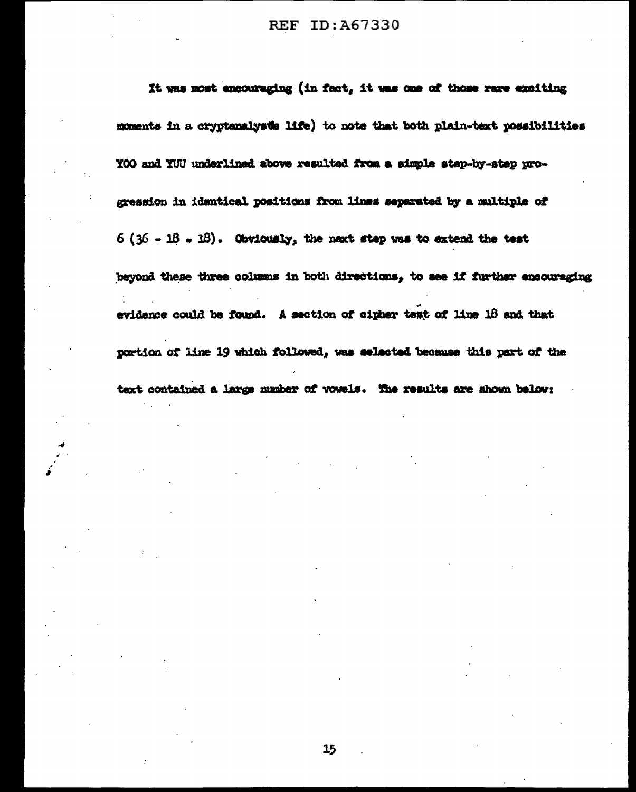It was most encouraging (in fact, it was one of those rare exciting moments in a cryptanalysts life) to note that both plain-text possibilities YOO and YUU underlined above resulted from a simple step-by-step progression in identical positions from lines separated by a multiple of  $6(36 - 18 - 18)$ . Obviously, the next step was to extend the test beyond these three columns in both directions, to see if further encouraging evidence could be found. A section of cipher text of line 18 and that portion of line 19 which followed, was selected because this part of the text contained a large number of vowels. The results are shown below: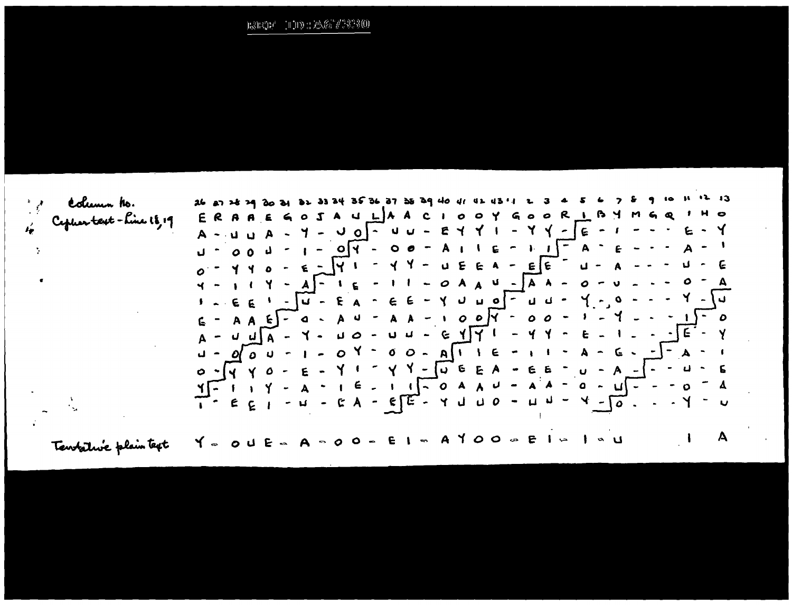ESECH 100 : 2567330

of column to. 4 Cephertaxt-Line 18,19

26 27 26 29 20 21 22 23 24 35 36 37 28 39 40 41 42 43 4 1 2 3 4 5 6 7 8 9 10 11 12 13 ERAAE GOJAU LA A CIOOY GOOR LAYMGQ IHO  $A - U U A - Y - U 0 - U U - E Y Y I - Y Y - E - I - - - E - Y$  $u \cdot 00 u - 1 - 01 - 00 - A11 E - 11 - A - E - - A - 1$ <br>  $0 - 110 - E - 111 - 11 - 11 = A - E - 11 - A - 11 - E$  $Y - 1$  1  $Y - 1$   $Y - 1$   $E - 1$  1 - 0 A A U  $\frac{1}{2}$  A - 0 - 0 - 0 - 0 - <u>A</u>  $1 - 661 - 11 - 64 - 66 - 9110 - 9 - 11 - 9 - 19$  $G - AA E - 0 - A U - A A - 100 Y - 00 - 1 - 1 - 1 - 0$  $A - U U A - Y - U O - U U - E Y Y I - Y Y - E - I - - I E - Y$  $U - 00U - 1 - 0Y - 00 - A$   $11E - 11 - A - C - - - A - 1$  $0 - \sqrt{1} \times 0 - E - 11 - 11 - \sqrt{1}E E A - E E - 0 - A - - - 4 - E$  $T - E E I - U - E A - E E - Y U U 0 - U U - Y - 0$ .... Y - OUE - A - OO - E I - A YOO - E I - I - U

Tentatwe plain text

 $\mathbf{A}$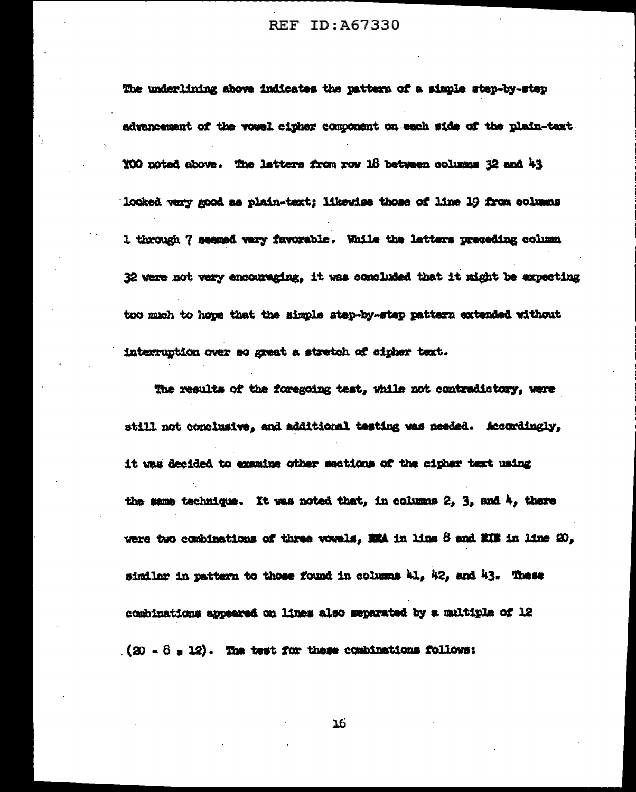The underlining above indicates the pattern of a simple step-by-step advancement of the vowel cipher component on each side of the plain-text. TOO noted above. The latters from row 18 between columns  $32$  and  $43$ looked very good as plain-text; likewise those of line 19 from columns 1 through 7 seemed very favorable. While the letters preceding column 32 were not very encouraging, it was concluded that it might be expecting too much to hope that the simple atep-by-step pattern extended without interruption over so great a stretch of cipher text.

The results of the foregoing test, while not contradictory, were still not conclusive, and additional testing was needed. Accordingly, it was decided to examine other sections of the cipher text using the same technique. It was noted that, in columns 2.  $3$ , and  $4$ , there were two combinations of three vowels,  $\mathbb{R}$ 4 in line 8 and  $\mathbb{R}$ IE in line 20, similar in pattern to those found in columns 41, 42, and 43. These combinations appeared on lines also separated by a multiple of 12  $(20 - 8 - 12)$ . The test for these combinations follows: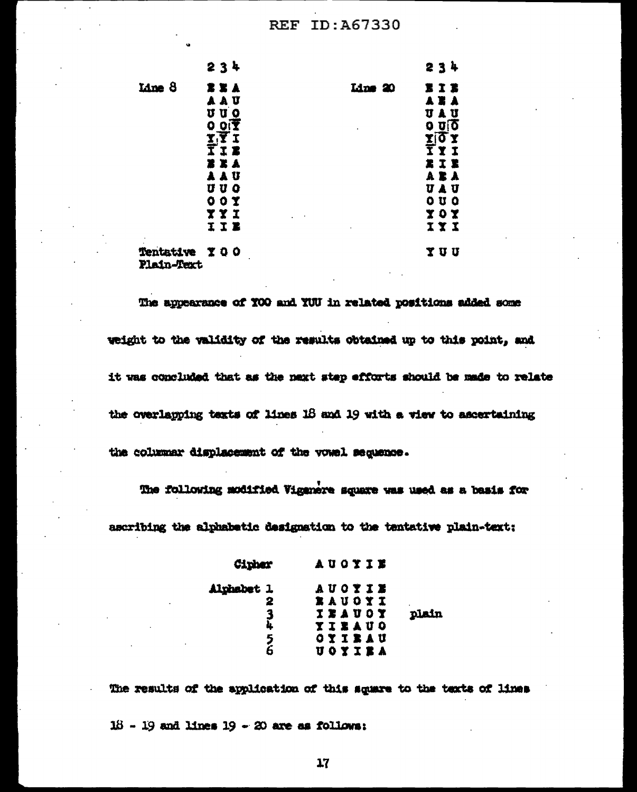|                                    | 234                                       |         | 234              |
|------------------------------------|-------------------------------------------|---------|------------------|
| <b>Line 8</b>                      | <b><i>BBA</i></b>                         | Line 20 | <b>BIB</b>       |
|                                    | A A U                                     |         | A E A            |
|                                    | UUO                                       |         | UAU              |
|                                    | O Oi乎                                     |         | $Q \overline{Q}$ |
|                                    |                                           |         | <b>ΣΙΟΥ</b>      |
|                                    | $\frac{1}{2}$ $\frac{1}{2}$ $\frac{1}{2}$ |         | <b>TYI</b>       |
|                                    | <b>22A</b>                                |         | <b>EIR</b>       |
|                                    | A A U                                     |         | A Z A            |
|                                    | U U Q                                     |         | UAU              |
|                                    | 00x                                       |         | 0 U Q            |
|                                    | YY I                                      |         | Y O Y            |
|                                    | II B                                      |         | IXI              |
| <b>Tentative YOO</b><br>Plain-Text |                                           |         | Y U U            |

The appearance of YOO and YUU in related positions added some weight to the validity of the results obtained up to this point, and it was concluded that as the next step efforts should be made to relate the overlapping texts of lines 18 and 19 with a view to ascertaining the columnar displacement of the vowel sequence.

The following modified Vigenere square was used as a basis for ascribing the alphabetic designation to the tentative plain-text;

| <b>Cipher</b> |               |  | <b>AUOYIE</b> |               |       |
|---------------|---------------|--|---------------|---------------|-------|
| Alphabet 1    |               |  |               | <b>AUOTIE</b> |       |
|               | 2             |  |               | <b>BAUOYI</b> |       |
|               |               |  |               | <b>TRAUOY</b> | plain |
|               | $\frac{3}{4}$ |  | <b>YIRAUO</b> |               |       |
|               |               |  | <b>OYIBAU</b> |               |       |
|               | 5<br>6        |  | HOYTËA        |               |       |

The results of the application of this square to the texts of lines

 $18 - 19$  and lines  $19 - 20$  are as follows: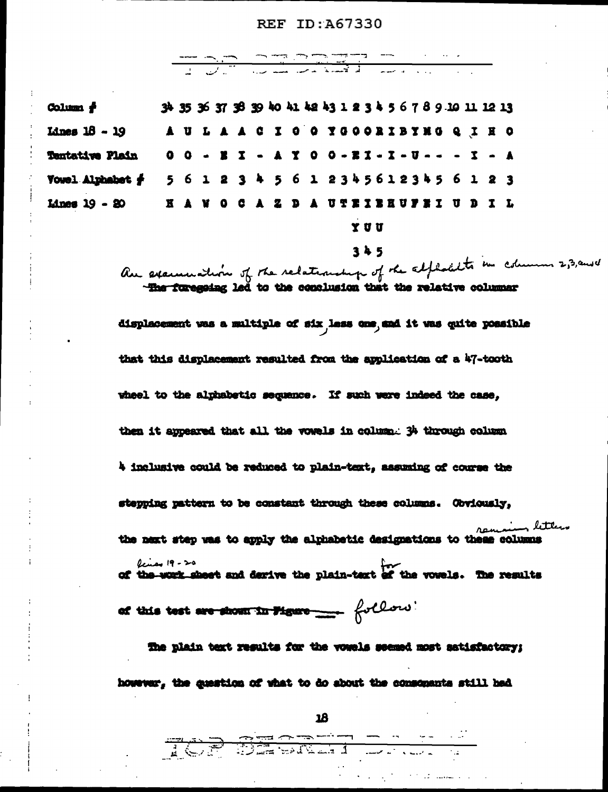34 35 36 37 38 39 40 41 42 43 1 2 3 4 5 6 7 8 9 19 11 12 13  $Column_{2}$ Lines  $18 - 19$ AULAACIOO YGOORIBING QIHO 0 0 - E I - A Y 0 0 - EI - I - V - - - I - A **Tentative Plain** Yourl Alphabet  $f = 56123456123456123456123$ **Lines 19 - 20** K A W O C A Z D A UTTITEUFTI U D I L Y U U Que execuciation of the relationship of the alpholities in column 2,3, and displacement was a multiple of six less one, and it was quite possible that this displacement resulted from the application of a 47-tooth wheel to the alphabetic sequence. If such were indeed the case, then it appeared that all the vowels in column. 34 through column 4 inclusive could be reduced to plain-text, assuming of course the stepping pattern to be constant through these columns. Cbviously, the next step was to apply the alphabetic designations to these columns Renar 19 - 20 of the work sheet and derive the plain-text of the vowels. The results of this test are shown in Mosso \_ follow

> The plain text results for the vowels seemed most astisfactory; however, the question of what to do about the consenants still hed

> > 18

**EXECUTIVE STATE AND STATE OF A STATE OF A STATE OF A STATE OF A STATE OF A STATE OF A STATE OF A STATE OF A ST** 

والمستقلب الأرداد والمحارب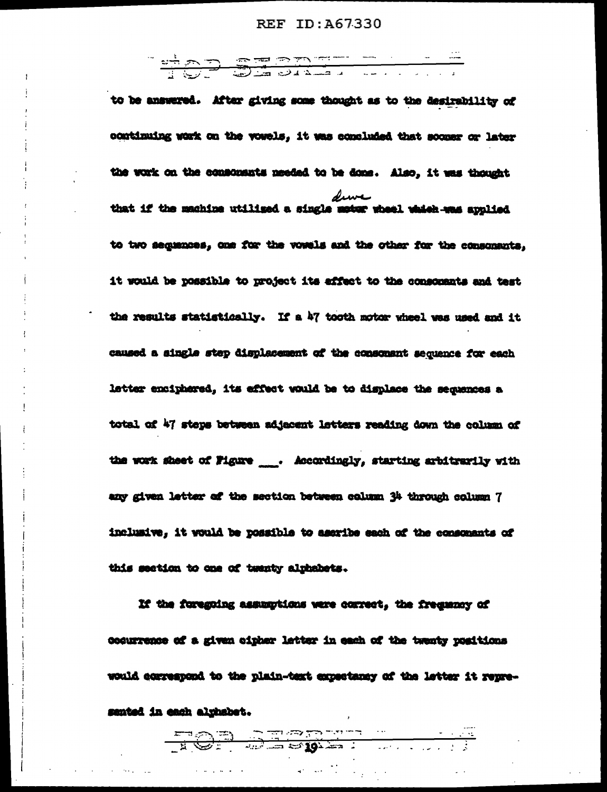to be answered. After giving some thought as to the desirability of continuing work on the vowels, it was concluded that sooner or later the work on the consonants needed to be done. Also, it was thought  $\frac{d}{dx}$  that if the machine utilised a single motor wheel which was applied to two sequences, one for the vowels and the other for the consonants. it would be possible to project its affect to the consoments and test the results statistically. If a 47 tooth motor wheel was used and it caused a single step displacement of the consonant sequence for each letter enciphered, its effect would be to displace the sequences a total of 47 steps between adjacent letters reading down the column of the work sheet of Figure ... Accordingly, starting arbitrarily with any given letter of the section between column 34 through column 7 inclusive, it would be possible to aseribe each of the consenants of this section to one of twenty alphabets.

If the furegoing assumptions were correct, the frequency of cocurrence of a given cipher letter in each of the twenty positions would correspond to the plain-text expectancy of the letter it represented in each alphabet.

**EQEMENT COMPANY** 

 $\label{eq:2.1} \frac{1}{\sqrt{2}}\left(\frac{1}{\sqrt{2}}\right)^{2} \left(\frac{1}{\sqrt{2}}\right)^{2} \left(\frac{1}{\sqrt{2}}\right)^{2} \left(\frac{1}{\sqrt{2}}\right)^{2} \left(\frac{1}{\sqrt{2}}\right)^{2} \left(\frac{1}{\sqrt{2}}\right)^{2} \left(\frac{1}{\sqrt{2}}\right)^{2} \left(\frac{1}{\sqrt{2}}\right)^{2} \left(\frac{1}{\sqrt{2}}\right)^{2} \left(\frac{1}{\sqrt{2}}\right)^{2} \left(\frac{1}{\sqrt{2}}\right)^{2} \left(\$